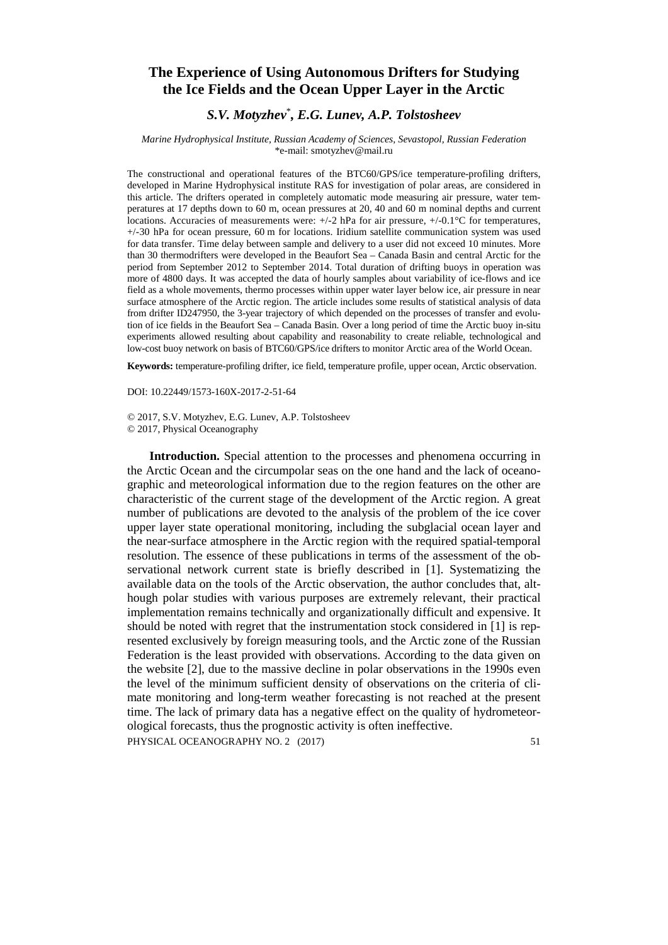## **The Experience of Using Autonomous Drifters for Studying the Ice Fields and the Ocean Upper Layer in the Arctic**

## *S.V. Motyzhev*\* *, E.G. Lunev, A.P. Tolstosheev*

## *Marine Hydrophysical Institute, Russian Academy of Sciences, Sevastopol, Russian Federation* \*e-mail: smotyzhev@mail.ru

The constructional and operational features of the BTC60/GPS/ice temperature-profiling drifters, developed in Marine Hydrophysical institute RAS for investigation of polar areas, are considered in this article. The drifters operated in completely automatic mode measuring air pressure, water temperatures at 17 depths down to 60 m, ocean pressures at 20, 40 and 60 m nominal depths and current locations. Accuracies of measurements were: +/-2 hPa for air pressure, +/-0.1°C for temperatures, +/-30 hPa for ocean pressure, 60 m for locations. Iridium satellite communication system was used for data transfer. Time delay between sample and delivery to a user did not exceed 10 minutes. More than 30 thermodrifters were developed in the Beaufort Sea – Canada Basin and central Arctic for the period from September 2012 to September 2014. Total duration of drifting buoys in operation was more of 4800 days. It was accepted the data of hourly samples about variability of ice-flows and ice field as a whole movements, thermo processes within upper water layer below ice, air pressure in near surface atmosphere of the Arctic region. The article includes some results of statistical analysis of data from drifter ID247950, the 3-year trajectory of which depended on the processes of transfer and evolution of ice fields in the Beaufort Sea – Canada Basin. Over a long period of time the Arctic buoy in-situ experiments allowed resulting about capability and reasonability to create reliable, technological and low-cost buoy network on basis of BTC60/GPS/ice drifters to monitor Arctic area of the World Ocean.

**Keywords:** temperature-profiling drifter, ice field, temperature profile, upper ocean, Arctic observation.

DOI: 10.22449/1573-160X-2017-2-51-64

© 2017, S.V. Motyzhev, E.G. Lunev, A.P. Tolstosheev © 2017, Physical Oceanography

**Introduction.** Special attention to the processes and phenomena occurring in the Arctic Ocean and the circumpolar seas on the one hand and the lack of oceanographic and meteorological information due to the region features on the other are characteristic of the current stage of the development of the Arctic region. A great number of publications are devoted to the analysis of the problem of the ice cover upper layer state operational monitoring, including the subglacial ocean layer and the near-surface atmosphere in the Arctic region with the required spatial-temporal resolution. The essence of these publications in terms of the assessment of the observational network current state is briefly described in [1]. Systematizing the available data on the tools of the Arctic observation, the author concludes that, although polar studies with various purposes are extremely relevant, their practical implementation remains technically and organizationally difficult and expensive. It should be noted with regret that the instrumentation stock considered in [1] is represented exclusively by foreign measuring tools, and the Arctic zone of the Russian Federation is the least provided with observations. According to the data given on the website [2], due to the massive decline in polar observations in the 1990s even the level of the minimum sufficient density of observations on the criteria of climate monitoring and long-term weather forecasting is not reached at the present time. The lack of primary data has a negative effect on the quality of hydrometeorological forecasts, thus the prognostic activity is often ineffective.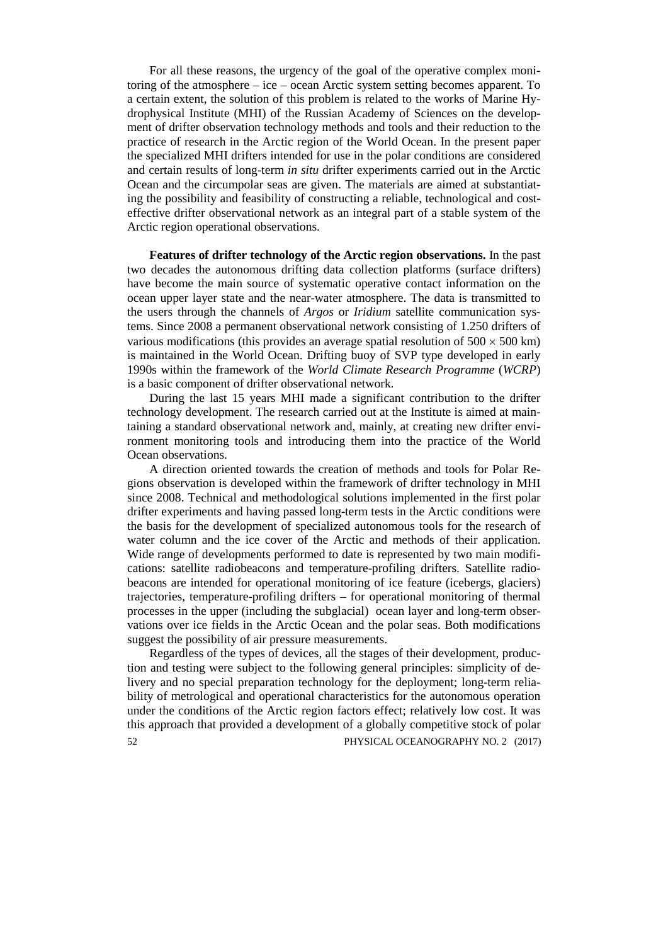For all these reasons, the urgency of the goal of the operative complex monitoring of the atmosphere – ice – ocean Arctic system setting becomes apparent. To a certain extent, the solution of this problem is related to the works of Marine Hydrophysical Institute (MHI) of the Russian Academy of Sciences on the development of drifter observation technology methods and tools and their reduction to the practice of research in the Arctic region of the World Ocean. In the present paper the specialized MHI drifters intended for use in the polar conditions are considered and certain results of long-term *in situ* drifter experiments carried out in the Arctic Ocean and the circumpolar seas are given. The materials are aimed at substantiating the possibility and feasibility of constructing a reliable, technological and costeffective drifter observational network as an integral part of a stable system of the Arctic region operational observations.

**Features of drifter technology of the Arctic region observations.** In the past two decades the autonomous drifting data collection platforms (surface drifters) have become the main source of systematic operative contact information on the ocean upper layer state and the near-water atmosphere. The data is transmitted to the users through the channels of *Argos* or *Iridium* satellite communication systems. Since 2008 a permanent observational network consisting of 1.250 drifters of various modifications (this provides an average spatial resolution of  $500 \times 500$  km) is maintained in the World Ocean. Drifting buoy of SVP type developed in early 1990s within the framework of the *World Climate Research Programme* (*WCRP*) is a basic component of drifter observational network.

During the last 15 years MHI made a significant contribution to the drifter technology development. The research carried out at the Institute is aimed at maintaining a standard observational network and, mainly, at creating new drifter environment monitoring tools and introducing them into the practice of the World Ocean observations.

A direction oriented towards the creation of methods and tools for Polar Regions observation is developed within the framework of drifter technology in MHI since 2008. Technical and methodological solutions implemented in the first polar drifter experiments and having passed long-term tests in the Arctic conditions were the basis for the development of specialized autonomous tools for the research of water column and the ice cover of the Arctic and methods of their application. Wide range of developments performed to date is represented by two main modifications: satellite radiobeacons and temperature-profiling drifters. Satellite radiobeacons are intended for operational monitoring of ice feature (icebergs, glaciers) trajectories, temperature-profiling drifters – for operational monitoring of thermal processes in the upper (including the subglacial) ocean layer and long-term observations over ice fields in the Arctic Ocean and the polar seas. Both modifications suggest the possibility of air pressure measurements.

Regardless of the types of devices, all the stages of their development, production and testing were subject to the following general principles: simplicity of delivery and no special preparation technology for the deployment; long-term reliability of metrological and operational characteristics for the autonomous operation under the conditions of the Arctic region factors effect; relatively low cost. It was this approach that provided a development of a globally competitive stock of polar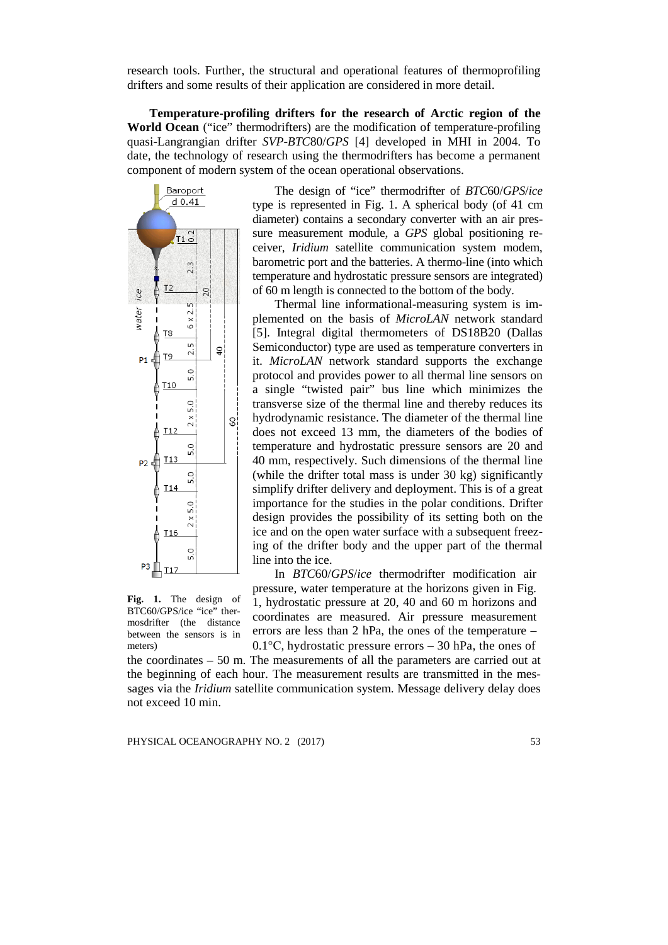research tools. Further, the structural and operational features of thermoprofiling drifters and some results of their application are considered in more detail.

**Temperature-profiling drifters for the research of Arctic region of the World Ocean** ("ice" thermodrifters) are the modification of temperature-profiling quasi-Langrangian drifter *SVP*-*BTC*80/*GPS* [4] developed in MHI in 2004. To date, the technology of research using the thermodrifters has become a permanent component of modern system of the ocean operational observations.



The design of "ice" thermodrifter of *BTC*60/*GPS*/*ice* type is represented in Fig. 1. A spherical body (of 41 cm diameter) contains a secondary converter with an air pressure measurement module, a *GPS* global positioning receiver, *Iridium* satellite communication system modem, barometric port and the batteries. A thermo-line (into which temperature and hydrostatic pressure sensors are integrated) of 60 m length is connected to the bottom of the body.

Thermal line informational-measuring system is implemented on the basis of *MicroLAN* network standard [5]. Integral digital thermometers of DS18B20 (Dallas Semiconductor) type are used as temperature converters in it. *MicroLAN* network standard supports the exchange protocol and provides power to all thermal line sensors on a single "twisted pair" bus line which minimizes the transverse size of the thermal line and thereby reduces its hydrodynamic resistance. The diameter of the thermal line does not exceed 13 mm, the diameters of the bodies of temperature and hydrostatic pressure sensors are 20 and 40 mm, respectively. Such dimensions of the thermal line (while the drifter total mass is under 30 kg) significantly simplify drifter delivery and deployment. This is of a great importance for the studies in the polar conditions. Drifter design provides the possibility of its setting both on the ice and on the open water surface with a subsequent freezing of the drifter body and the upper part of the thermal line into the ice.

**Fig. 1.** The design of BTC60/GPS/ice "ice" thermosdrifter (the distance between the sensors is in meters)

In *BTC*60/*GPS*/*ice* thermodrifter modification air pressure, water temperature at the horizons given in Fig. 1, hydrostatic pressure at 20, 40 and 60 m horizons and coordinates are measured. Air pressure measurement errors are less than 2 hPa, the ones of the temperature – 0.1°С, hydrostatic pressure errors – 30 hPa, the ones of

the coordinates – 50 m. The measurements of all the parameters are carried out at the beginning of each hour. The measurement results are transmitted in the messages via the *Iridium* satellite communication system. Message delivery delay does not exceed 10 min.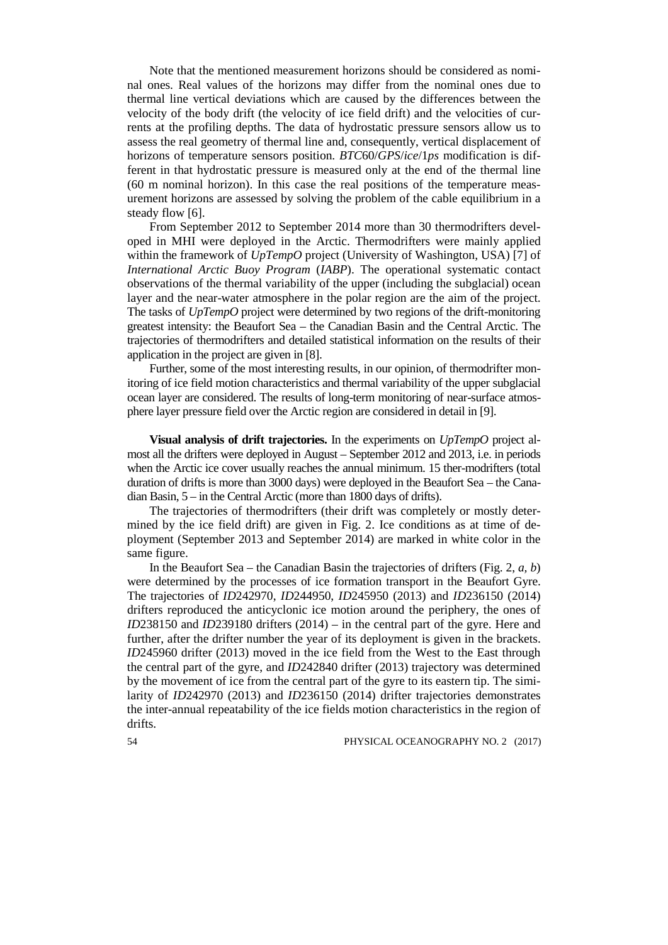Note that the mentioned measurement horizons should be considered as nominal ones. Real values of the horizons may differ from the nominal ones due to thermal line vertical deviations which are caused by the differences between the velocity of the body drift (the velocity of ice field drift) and the velocities of currents at the profiling depths. The data of hydrostatic pressure sensors allow us to assess the real geometry of thermal line and, consequently, vertical displacement of horizons of temperature sensors position. *BTC*60/*GPS*/*ice*/1*ps* modification is different in that hydrostatic pressure is measured only at the end of the thermal line (60 m nominal horizon). In this case the real positions of the temperature measurement horizons are assessed by solving the problem of the cable equilibrium in a steady flow [6].

From September 2012 to September 2014 more than 30 thermodrifters developed in MHI were deployed in the Arctic. Thermodrifters were mainly applied within the framework of *UpTempO* project (University of Washington, USA) [7] of *International Arctic Buoy Program* (*IABP*). The operational systematic contact observations of the thermal variability of the upper (including the subglacial) ocean layer and the near-water atmosphere in the polar region are the aim of the project. The tasks of *UpTempO* project were determined by two regions of the drift-monitoring greatest intensity: the Beaufort Sea – the Canadian Basin and the Central Arctic. The trajectories of thermodrifters and detailed statistical information on the results of their application in the project are given in [8].

Further, some of the most interesting results, in our opinion, of thermodrifter monitoring of ice field motion characteristics and thermal variability of the upper subglacial ocean layer are considered. The results of long-term monitoring of near-surface atmosphere layer pressure field over the Arctic region are considered in detail in [9].

**Visual analysis of drift trajectories.** In the experiments on *UpTempO* project almost all the drifters were deployed in August – September 2012 and 2013, i.e. in periods when the Arctic ice cover usually reaches the annual minimum. 15 ther-modrifters (total duration of drifts is more than 3000 days) were deployed in the Beaufort Sea – the Canadian Basin, 5 – in the Central Arctic (more than 1800 days of drifts).

The trajectories of thermodrifters (their drift was completely or mostly determined by the ice field drift) are given in Fig. 2. Ice conditions as at time of deployment (September 2013 and September 2014) are marked in white color in the same figure.

In the Beaufort Sea – the Canadian Basin the trajectories of drifters (Fig. 2, *a, b*) were determined by the processes of ice formation transport in the Beaufort Gyre. The trajectories of *ID*242970, *ID*244950, *ID*245950 (2013) and *ID*236150 (2014) drifters reproduced the anticyclonic ice motion around the periphery, the ones of *ID*238150 and *ID*239180 drifters (2014) – in the central part of the gyre. Here and further, after the drifter number the year of its deployment is given in the brackets. *ID*245960 drifter (2013) moved in the ice field from the West to the East through the central part of the gyre, and *ID*242840 drifter (2013) trajectory was determined by the movement of ice from the central part of the gyre to its eastern tip. The similarity of *ID*242970 (2013) and *ID*236150 (2014) drifter trajectories demonstrates the inter-annual repeatability of the ice fields motion characteristics in the region of drifts.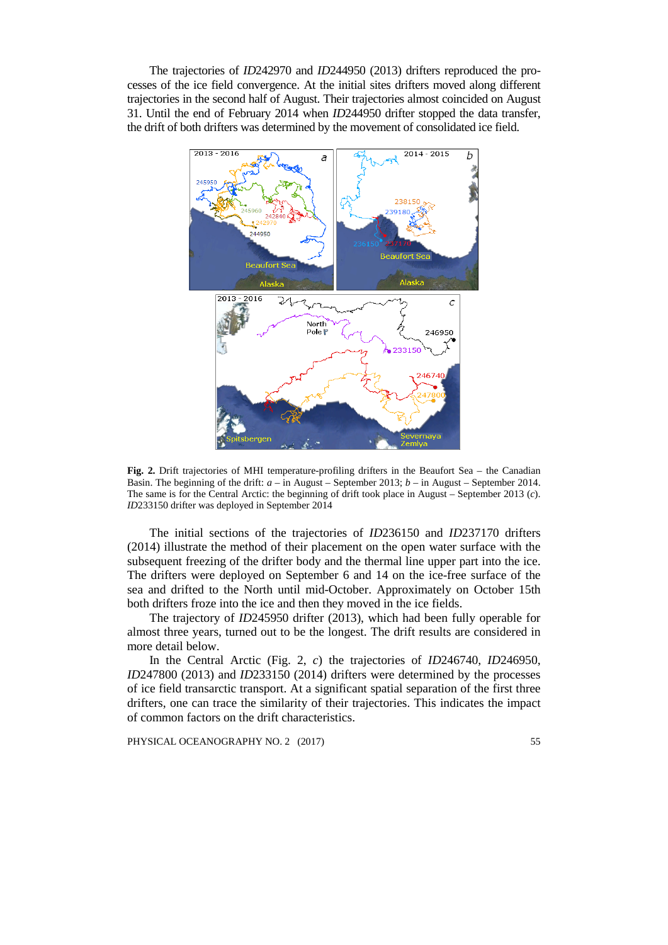The trajectories of *ID*242970 and *ID*244950 (2013) drifters reproduced the processes of the ice field convergence. At the initial sites drifters moved along different trajectories in the second half of August. Their trajectories almost coincided on August 31. Until the end of February 2014 when *ID*244950 drifter stopped the data transfer, the drift of both drifters was determined by the movement of consolidated ice field.



**Fig. 2.** Drift trajectories of MHI temperature-profiling drifters in the Beaufort Sea – the Canadian Basin. The beginning of the drift: *a* – in August – September 2013; *b* – in August – September 2014. The same is for the Central Arctic: the beginning of drift took place in August – September 2013 (*c*). *ID*233150 drifter was deployed in September 2014

The initial sections of the trajectories of *ID*236150 and *ID*237170 drifters (2014) illustrate the method of their placement on the open water surface with the subsequent freezing of the drifter body and the thermal line upper part into the ice. The drifters were deployed on September 6 and 14 on the ice-free surface of the sea and drifted to the North until mid-October. Approximately on October 15th both drifters froze into the ice and then they moved in the ice fields.

The trajectory of *ID*245950 drifter (2013), which had been fully operable for almost three years, turned out to be the longest. The drift results are considered in more detail below.

In the Central Arctic (Fig. 2, *c*) the trajectories of *ID*246740, *ID*246950, *ID*247800 (2013) and *ID*233150 (2014) drifters were determined by the processes of ice field transarctic transport. At a significant spatial separation of the first three drifters, one can trace the similarity of their trajectories. This indicates the impact of common factors on the drift characteristics.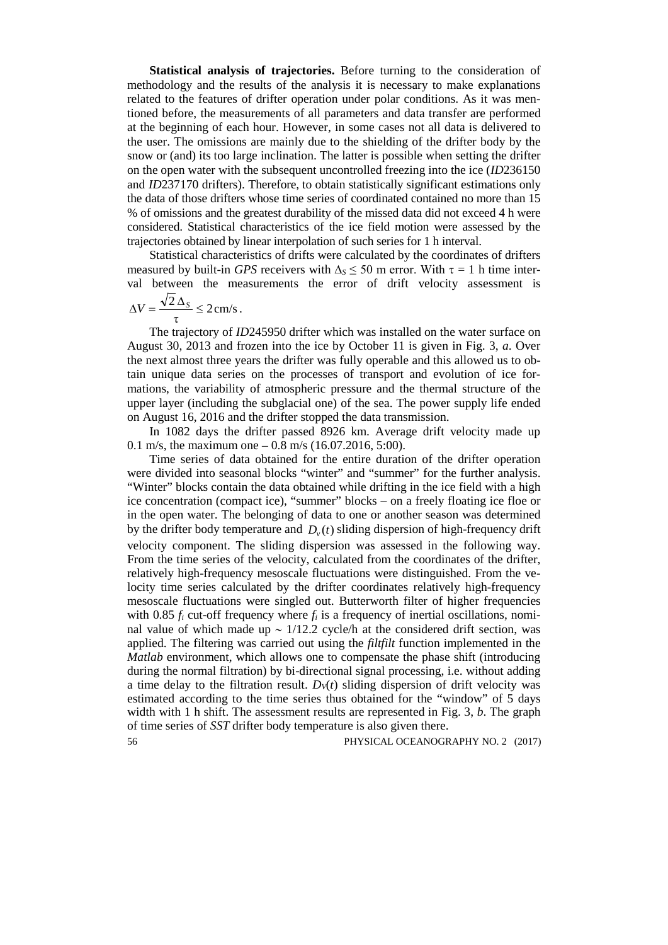**Statistical analysis of trajectories.** Before turning to the consideration of methodology and the results of the analysis it is necessary to make explanations related to the features of drifter operation under polar conditions. As it was mentioned before, the measurements of all parameters and data transfer are performed at the beginning of each hour. However, in some cases not all data is delivered to the user. The omissions are mainly due to the shielding of the drifter body by the snow or (and) its too large inclination. The latter is possible when setting the drifter on the open water with the subsequent uncontrolled freezing into the ice (*ID*236150 and *ID*237170 drifters). Therefore, to obtain statistically significant estimations only the data of those drifters whose time series of coordinated contained no more than 15 % of omissions and the greatest durability of the missed data did not exceed 4 h were considered. Statistical characteristics of the ice field motion were assessed by the trajectories obtained by linear interpolation of such series for 1 h interval.

Statistical characteristics of drifts were calculated by the coordinates of drifters measured by built-in *GPS* receivers with  $\Delta$ <sub>*S*</sub> ≤ 50 m error. With  $\tau = 1$  h time interval between the measurements the error of drift velocity assessment is

$$
\Delta V = \frac{\sqrt{2} \Delta_S}{\tau} \leq 2 \, \text{cm/s} \, .
$$

The trajectory of *ID*245950 drifter which was installed on the water surface on August 30, 2013 and frozen into the ice by October 11 is given in Fig. 3, *a*. Over the next almost three years the drifter was fully operable and this allowed us to obtain unique data series on the processes of transport and evolution of ice formations, the variability of atmospheric pressure and the thermal structure of the upper layer (including the subglacial one) of the sea. The power supply life ended on August 16, 2016 and the drifter stopped the data transmission.

In 1082 days the drifter passed 8926 km. Average drift velocity made up 0.1 m/s, the maximum one  $-$  0.8 m/s (16.07.2016, 5:00).

Time series of data obtained for the entire duration of the drifter operation were divided into seasonal blocks "winter" and "summer" for the further analysis. "Winter" blocks contain the data obtained while drifting in the ice field with a high ice concentration (compact ice), "summer" blocks – on a freely floating ice floe or in the open water. The belonging of data to one or another season was determined by the drifter body temperature and  $D<sub>v</sub>(t)$  sliding dispersion of high-frequency drift velocity component. The sliding dispersion was assessed in the following way. From the time series of the velocity, calculated from the coordinates of the drifter, relatively high-frequency mesoscale fluctuations were distinguished. From the velocity time series calculated by the drifter coordinates relatively high-frequency mesoscale fluctuations were singled out. Butterworth filter of higher frequencies with 0.85  $f_i$  cut-off frequency where  $f_i$  is a frequency of inertial oscillations, nominal value of which made up ~ 1/12.2 cycle/h at the considered drift section, was applied. The filtering was carried out using the *filtfilt* function implemented in the *Matlab* environment, which allows one to compensate the phase shift (introducing during the normal filtration) by bi-directional signal processing, i.e. without adding a time delay to the filtration result.  $D<sub>V</sub>(t)$  sliding dispersion of drift velocity was estimated according to the time series thus obtained for the "window" of 5 days width with 1 h shift. The assessment results are represented in Fig. 3, *b*. The graph of time series of *SST* drifter body temperature is also given there.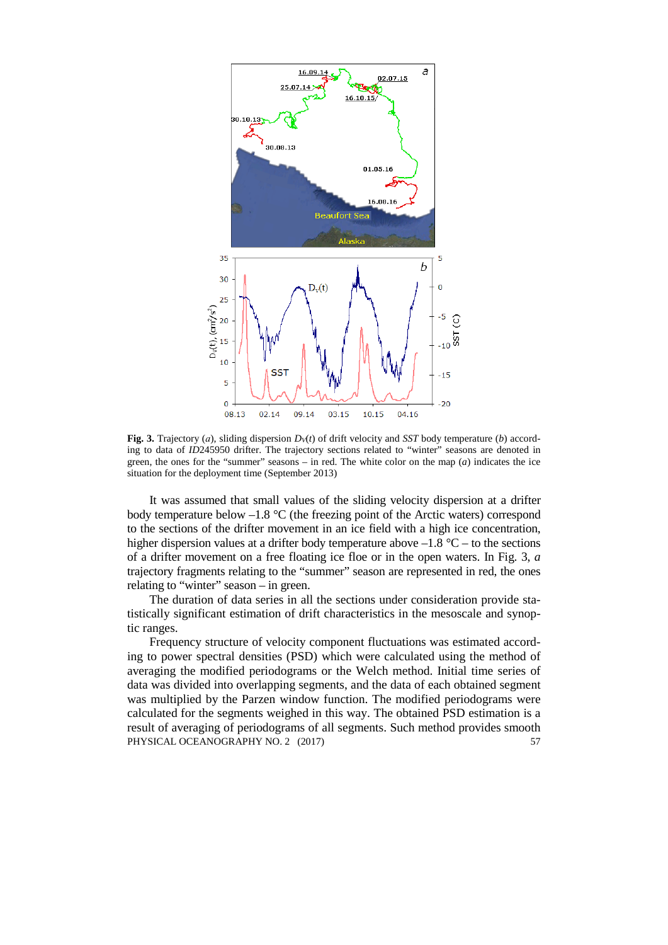

**Fig. 3.** Trajectory (*a*), sliding dispersion  $D_V(t)$  of drift velocity and *SST* body temperature (*b*) according to data of *ID*245950 drifter. The trajectory sections related to "winter" seasons are denoted in green, the ones for the "summer" seasons – in red. The white color on the map (*a*) indicates the ice situation for the deployment time (September 2013)

It was assumed that small values of the sliding velocity dispersion at a drifter body temperature below  $-1.8$  °C (the freezing point of the Arctic waters) correspond to the sections of the drifter movement in an ice field with a high ice concentration, higher dispersion values at a drifter body temperature above  $-1.8$  °C – to the sections of a drifter movement on a free floating ice floe or in the open waters. In Fig. 3, *a* trajectory fragments relating to the "summer" season are represented in red, the ones relating to "winter" season – in green.

The duration of data series in all the sections under consideration provide statistically significant estimation of drift characteristics in the mesoscale and synoptic ranges.

Frequency structure of velocity component fluctuations was estimated according to power spectral densities (PSD) which were calculated using the method of averaging the modified periodograms or the Welch method. Initial time series of data was divided into overlapping segments, and the data of each obtained segment was multiplied by the Parzen window function. The modified periodograms were calculated for the segments weighed in this way. The obtained PSD estimation is a result of averaging of periodograms of all segments. Such method provides smooth PHYSICAL OCEANOGRAPHY NO. 2 (2017) 57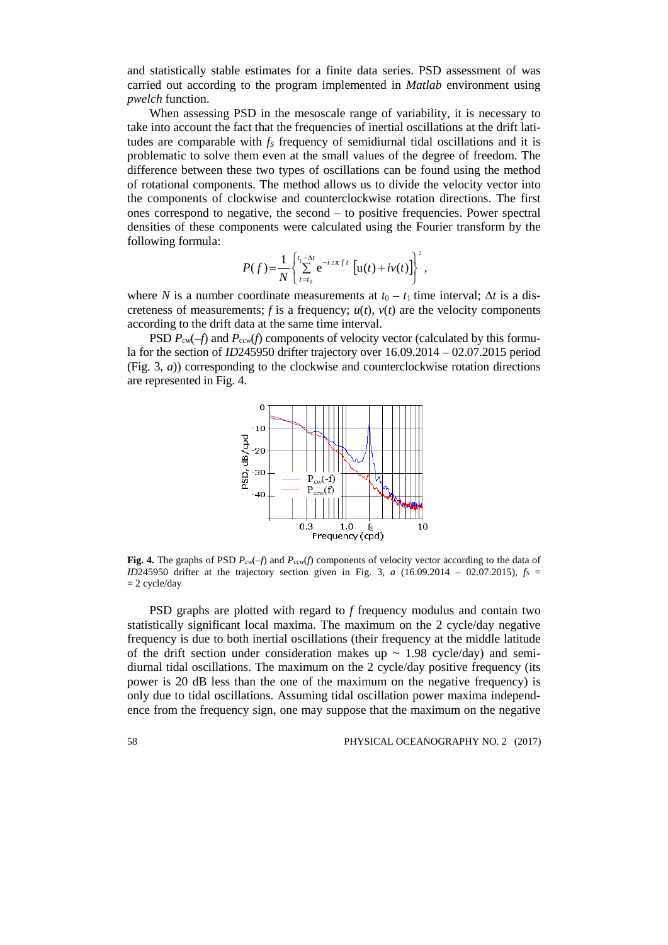and statistically stable estimates for a finite data series. PSD assessment of was carried out according to the program implemented in *Matlab* environment using *pwelch* function.

When assessing PSD in the mesoscale range of variability, it is necessary to take into account the fact that the frequencies of inertial oscillations at the drift latitudes are comparable with  $f<sub>S</sub>$  frequency of semidiurnal tidal oscillations and it is problematic to solve them even at the small values of the degree of freedom. The difference between these two types of oscillations can be found using the method of rotational components. The method allows us to divide the velocity vector into the components of clockwise and counterclockwise rotation directions. The first ones correspond to negative, the second – to positive frequencies. Power spectral densities of these components were calculated using the Fourier transform by the following formula:

$$
P(f) = \frac{1}{N} \left\{ \sum_{t=t_0}^{t_1 - \Delta t} e^{-i 2\pi f t} \left[ u(t) + iv(t) \right] \right\}^2,
$$

where *N* is a number coordinate measurements at  $t_0 - t_1$  time interval; ∆*t* is a discreteness of measurements;  $f$  is a frequency;  $u(t)$ ,  $v(t)$  are the velocity components according to the drift data at the same time interval.

PSD  $P_{cw}(-f)$  and  $P_{ccw}(f)$  components of velocity vector (calculated by this formula for the section of *ID*245950 drifter trajectory over 16.09.2014 – 02.07.2015 period (Fig. 3, *a*)) corresponding to the clockwise and counterclockwise rotation directions are represented in Fig. 4.



**Fig. 4.** The graphs of PSD  $P_{cv}(-f)$  and  $P_{cv}(f)$  components of velocity vector according to the data of *ID*245950 drifter at the trajectory section given in Fig. 3, *a* (16.09.2014 – 02.07.2015),  $f_s$  $= 2$  cycle/day

PSD graphs are plotted with regard to *f* frequency modulus and contain two statistically significant local maxima. The maximum on the 2 cycle/day negative frequency is due to both inertial oscillations (their frequency at the middle latitude of the drift section under consideration makes up  $\sim 1.98$  cycle/day) and semidiurnal tidal oscillations. The maximum on the 2 cycle/day positive frequency (its power is 20 dB less than the one of the maximum on the negative frequency) is only due to tidal oscillations. Assuming tidal oscillation power maxima independence from the frequency sign, one may suppose that the maximum on the negative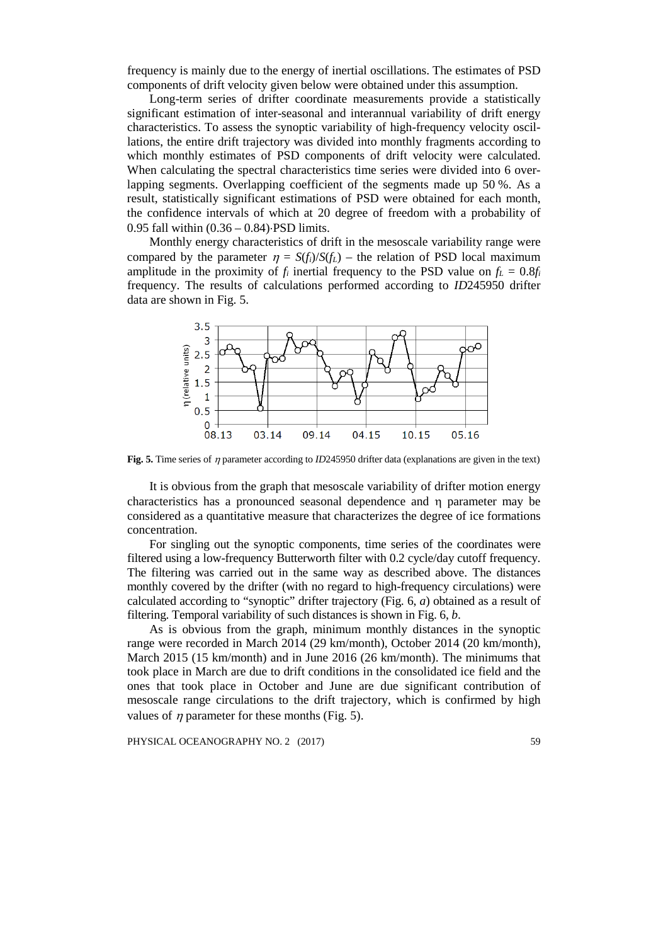frequency is mainly due to the energy of inertial oscillations. The estimates of PSD components of drift velocity given below were obtained under this assumption.

Long-term series of drifter coordinate measurements provide a statistically significant estimation of inter-seasonal and interannual variability of drift energy characteristics. To assess the synoptic variability of high-frequency velocity oscillations, the entire drift trajectory was divided into monthly fragments according to which monthly estimates of PSD components of drift velocity were calculated. When calculating the spectral characteristics time series were divided into 6 overlapping segments. Overlapping coefficient of the segments made up 50 %. As a result, statistically significant estimations of PSD were obtained for each month, the confidence intervals of which at 20 degree of freedom with a probability of 0.95 fall within (0.36 – 0.84)⋅PSD limits.

Monthly energy characteristics of drift in the mesoscale variability range were compared by the parameter  $\eta = S(f_i)/S(f_L)$  – the relation of PSD local maximum amplitude in the proximity of  $f_i$  inertial frequency to the PSD value on  $f_L = 0.8f_i$ frequency. The results of calculations performed according to *ID*245950 drifter data are shown in Fig. 5.



**Fig. 5.** Time series of <sup>η</sup> parameter according to *ID*245950 drifter data (explanations are given in the text)

It is obvious from the graph that mesoscale variability of drifter motion energy characteristics has a pronounced seasonal dependence and η parameter may be considered as a quantitative measure that characterizes the degree of ice formations concentration.

For singling out the synoptic components, time series of the coordinates were filtered using a low-frequency Butterworth filter with 0.2 cycle/day cutoff frequency. The filtering was carried out in the same way as described above. The distances monthly covered by the drifter (with no regard to high-frequency circulations) were calculated according to "synoptic" drifter trajectory (Fig. 6, *a*) obtained as a result of filtering. Temporal variability of such distances is shown in Fig. 6, *b*.

As is obvious from the graph, minimum monthly distances in the synoptic range were recorded in March 2014 (29 km/month), October 2014 (20 km/month), March 2015 (15 km/month) and in June 2016 (26 km/month). The minimums that took place in March are due to drift conditions in the consolidated ice field and the ones that took place in October and June are due significant contribution of mesoscale range circulations to the drift trajectory, which is confirmed by high values of  $\eta$  parameter for these months (Fig. 5).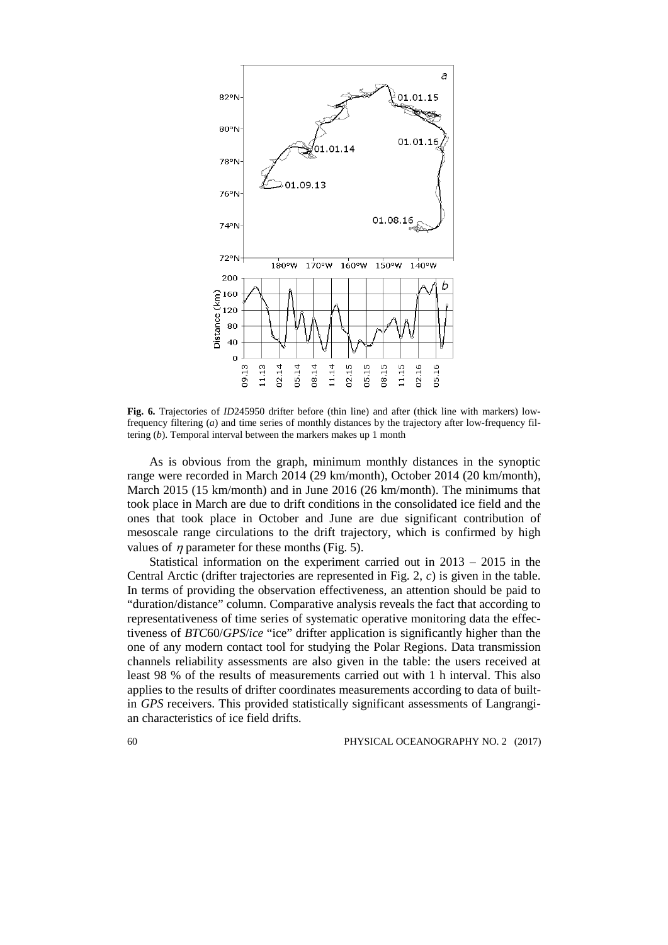

**Fig. 6.** Trajectories of *ID*245950 drifter before (thin line) and after (thick line with markers) lowfrequency filtering (*a*) and time series of monthly distances by the trajectory after low-frequency filtering (*b*). Temporal interval between the markers makes up 1 month

As is obvious from the graph, minimum monthly distances in the synoptic range were recorded in March 2014 (29 km/month), October 2014 (20 km/month), March 2015 (15 km/month) and in June 2016 (26 km/month). The minimums that took place in March are due to drift conditions in the consolidated ice field and the ones that took place in October and June are due significant contribution of mesoscale range circulations to the drift trajectory, which is confirmed by high values of *n* parameter for these months (Fig. 5).

Statistical information on the experiment carried out in 2013 – 2015 in the Central Arctic (drifter trajectories are represented in Fig. 2, *c*) is given in the table. In terms of providing the observation effectiveness, an attention should be paid to "duration/distance" column. Comparative analysis reveals the fact that according to representativeness of time series of systematic operative monitoring data the effectiveness of *BTC*60/*GPS*/*ice* "ice" drifter application is significantly higher than the one of any modern contact tool for studying the Polar Regions. Data transmission channels reliability assessments are also given in the table: the users received at least 98 % of the results of measurements carried out with 1 h interval. This also applies to the results of drifter coordinates measurements according to data of builtin *GPS* receivers. This provided statistically significant assessments of Langrangian characteristics of ice field drifts.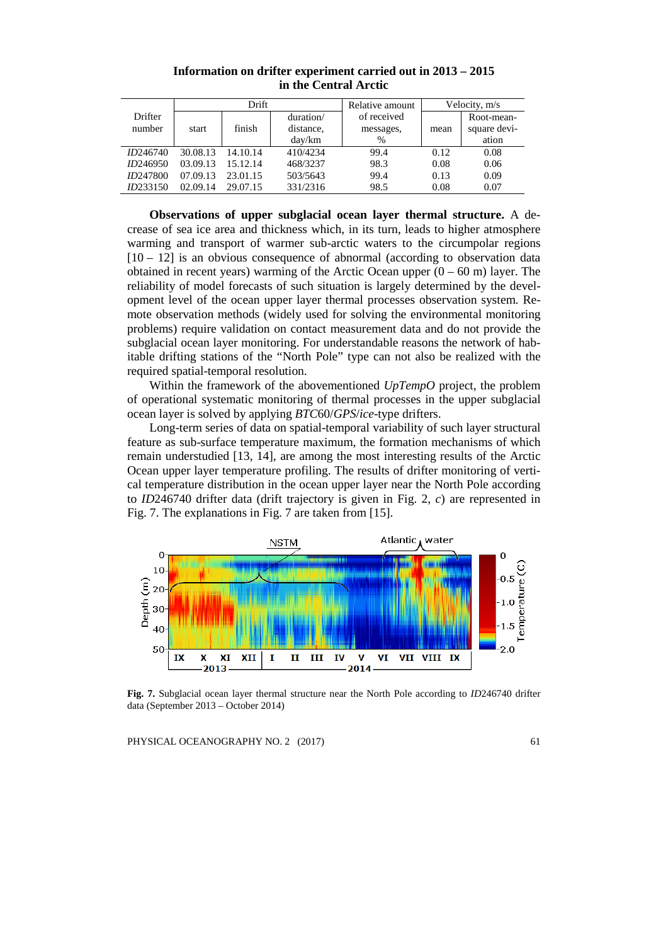|                 | Drift    |          |           | Relative amount | Velocity, m/s |              |
|-----------------|----------|----------|-----------|-----------------|---------------|--------------|
| Drifter         |          |          | duration/ | of received     |               | Root-mean-   |
| number          | start    | finish   | distance. | messages,       | mean          | square devi- |
|                 |          |          | day/km    | $\%$            |               | ation        |
| ID246740        | 30.08.13 | 14.10.14 | 410/4234  | 99.4            | 0.12          | 0.08         |
| ID246950        | 03.09.13 | 15.12.14 | 468/3237  | 98.3            | 0.08          | 0.06         |
| <i>ID247800</i> | 07.09.13 | 23.01.15 | 503/5643  | 99.4            | 0.13          | 0.09         |
| ID233150        | 02.09.14 | 29.07.15 | 331/2316  | 98.5            | 0.08          | 0.07         |

**Information on drifter experiment carried out in 2013 – 2015 in the Central Arctic**

**Observations of upper subglacial ocean layer thermal structure.** A decrease of sea ice area and thickness which, in its turn, leads to higher atmosphere warming and transport of warmer sub-arctic waters to the circumpolar regions  $[10 - 12]$  is an obvious consequence of abnormal (according to observation data obtained in recent years) warming of the Arctic Ocean upper  $(0 - 60 \text{ m})$  layer. The reliability of model forecasts of such situation is largely determined by the development level of the ocean upper layer thermal processes observation system. Remote observation methods (widely used for solving the environmental monitoring problems) require validation on contact measurement data and do not provide the subglacial ocean layer monitoring. For understandable reasons the network of habitable drifting stations of the "North Pole" type can not also be realized with the required spatial-temporal resolution.

Within the framework of the abovementioned *UpTempO* project, the problem of operational systematic monitoring of thermal processes in the upper subglacial ocean layer is solved by applying *BTC*60/*GPS*/*ice*-type drifters.

Long-term series of data on spatial-temporal variability of such layer structural feature as sub-surface temperature maximum, the formation mechanisms of which remain understudied [13, 14], are among the most interesting results of the Arctic Ocean upper layer temperature profiling. The results of drifter monitoring of vertical temperature distribution in the ocean upper layer near the North Pole according to *ID*246740 drifter data (drift trajectory is given in Fig. 2, *c*) are represented in Fig. 7. The explanations in Fig. 7 are taken from [15].



**Fig. 7.** Subglacial ocean layer thermal structure near the North Pole according to *ID*246740 drifter data (September 2013 – October 2014)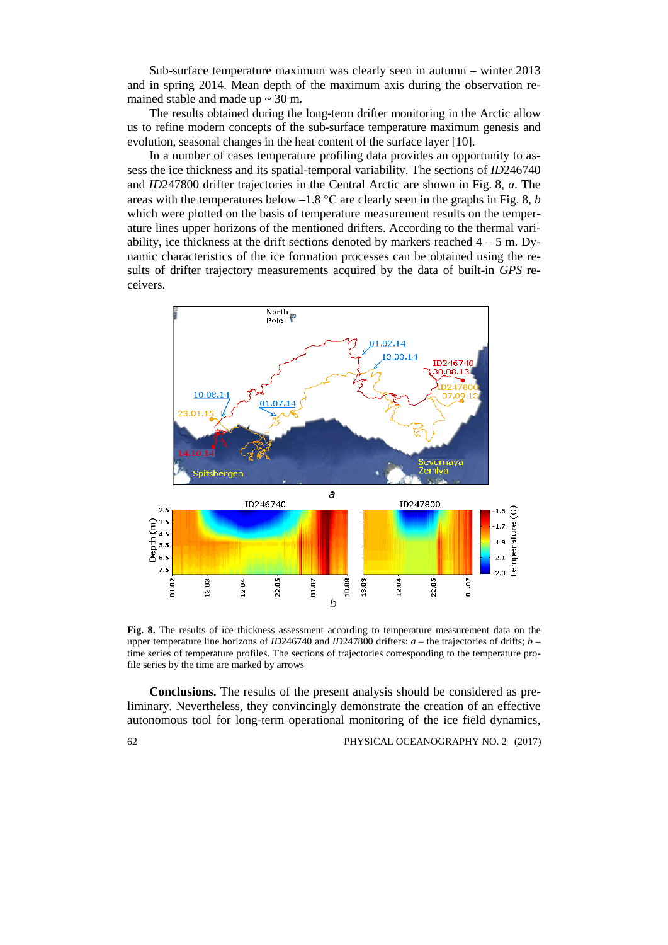Sub-surface temperature maximum was clearly seen in autumn – winter 2013 and in spring 2014. Mean depth of the maximum axis during the observation remained stable and made up  $\sim$  30 m.

The results obtained during the long-term drifter monitoring in the Arctic allow us to refine modern concepts of the sub-surface temperature maximum genesis and evolution, seasonal changes in the heat content of the surface layer [10].

In a number of cases temperature profiling data provides an opportunity to assess the ice thickness and its spatial-temporal variability. The sections of *ID*246740 and *ID*247800 drifter trajectories in the Central Arctic are shown in Fig. 8, *a*. The areas with the temperatures below –1.8 °С are clearly seen in the graphs in Fig. 8, *b* which were plotted on the basis of temperature measurement results on the temperature lines upper horizons of the mentioned drifters. According to the thermal variability, ice thickness at the drift sections denoted by markers reached  $4 - 5$  m. Dynamic characteristics of the ice formation processes can be obtained using the results of drifter trajectory measurements acquired by the data of built-in *GPS* receivers.



**Fig. 8.** The results of ice thickness assessment according to temperature measurement data on the upper temperature line horizons of *ID*246740 and *ID*247800 drifters: *a* – the trajectories of drifts; *b* – time series of temperature profiles. The sections of trajectories corresponding to the temperature profile series by the time are marked by arrows

**Conclusions.** The results of the present analysis should be considered as preliminary. Nevertheless, they convincingly demonstrate the creation of an effective autonomous tool for long-term operational monitoring of the ice field dynamics,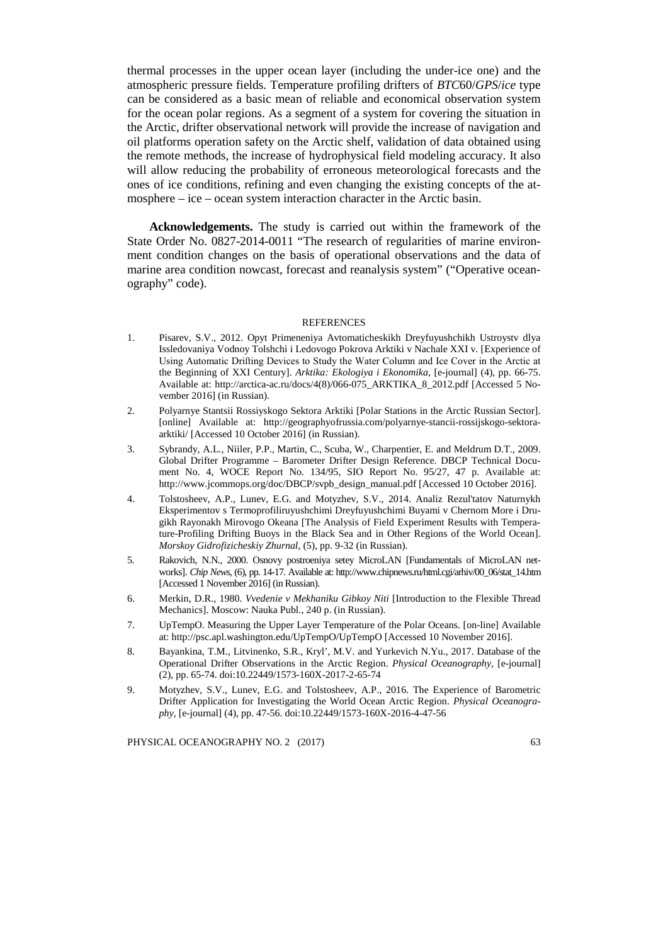thermal processes in the upper ocean layer (including the under-ice one) and the atmospheric pressure fields. Temperature profiling drifters of *BTC*60/*GPS*/*ice* type can be considered as a basic mean of reliable and economical observation system for the ocean polar regions. As a segment of a system for covering the situation in the Arctic, drifter observational network will provide the increase of navigation and oil platforms operation safety on the Arctic shelf, validation of data obtained using the remote methods, the increase of hydrophysical field modeling accuracy. It also will allow reducing the probability of erroneous meteorological forecasts and the ones of ice conditions, refining and even changing the existing concepts of the atmosphere – ice – ocean system interaction character in the Arctic basin.

**Acknowledgements.** The study is carried out within the framework of the State Order No. 0827-2014-0011 "The research of regularities of marine environment condition changes on the basis of operational observations and the data of marine area condition nowcast, forecast and reanalysis system" ("Operative oceanography" code).

## REFERENCES

- 1. Pisarev, S.V., 2012. Opyt Primeneniya Avtomaticheskikh Dreyfuyushchikh Ustroystv dlya Issledovaniya Vodnoy Tolshchi i Ledovogo Pokrova Arktiki v Nachale XXI v*.* [Experience of Using Automatic Drifting Devices to Study the Water Column and Ice Cover in the Arctic at the Beginning of XXI Century]. *Arktika: Ekologiya i Ekonomika*, [e-journal] (4), pp. 66-75. Available at: [http://arctica-ac.ru/docs/4\(8\)/066-075\\_ARKTIKA\\_8\\_2012.pdf](http://arctica-ac.ru/docs/4(8)/066-075_ARKTIKA_8_2012.pdf) [Accessed 5 November 2016] (in Russian).
- 2. Polyarnye Stantsii Rossiyskogo Sektora Arktiki [Polar Stations in the Arctic Russian Sector]. [online] Available at: http://geographyofrussia.com/polyarnye-stancii-rossijskogo-sektoraarktiki/ [Accessed 10 October 2016] (in Russian).
- 3. Sybrandy, A.L*.*, Niiler, P.P., Martin, C., Scuba, W., Charpentier, E. and Meldrum D.T., 2009. Global Drifter Programme – Barometer Drifter Design Reference. DBCP Technical Document No. 4, WOCE Report No. 134/95, SIO Report No. 95/27, 47 p. Available at: http://www.jcommops.org/doc/DBCP/svpb\_design\_manual.pdf [Accessed 10 October 2016].
- 4. Tolstosheev, A.P., Lunev, E.G. and Motyzhev, S.V., 2014. Analiz Rezul'tatov Naturnykh Eksperimentov s Termoprofiliruyushchimi Dreyfuyushchimi Buyami v Chernom More i Drugikh Rayonakh Mirovogo Okeana [The Analysis of Field Experiment Results with Temperature-Profiling Drifting Buoys in the Black Sea and in Other Regions of the World Ocean]. *Morskoy Gidrofizicheskiy Zhurnal*, (5), pp. 9-32 (in Russian).
- 5. Rakovich, N.N., 2000. Osnovy postroeniya setey MicroLAN [Fundamentals of MicroLAN networks]. *Chip News*, (6), pp. 14-17. Available at: http://www.chipnews.ru/html.cgi/arhiv/00\_06/stat\_14.htm [Accessed 1 November 2016] (in Russian).
- 6. Merkin, D.R., 1980. *Vvedenie v Mekhaniku Gibkoy Niti* [Introduction to the Flexible Thread Mechanics]. Moscow: Nauka Publ., 240 p. (in Russian).
- 7. UpTempO. Measuring the Upper Layer Temperature of the Polar Oceans. [on-line] Available at: http://psc.apl.washington.edu/UpTempO/UpTempO [Accessed 10 November 2016].
- 8. Bayankina, T.M., Litvinenko, S.R., Kryl', M.V. and Yurkevich N.Yu., 2017. Database of the Operational Drifter Observations in the Arctic Region. *Physical Oceanography,* [e-journal] (2), pp. 65-74. doi:10.22449/1573-160X-2017-2-65-74
- 9. Motyzhev, S.V., Lunev, E.G. and Tolstosheev, A.P., 2016. The Experience of Barometric Drifter Application for Investigating the World Ocean Arctic Region. *Physical Oceanography*, [e-journal] (4), pp. 47-56. doi:10.22449/1573-160X-2016-4-47-56